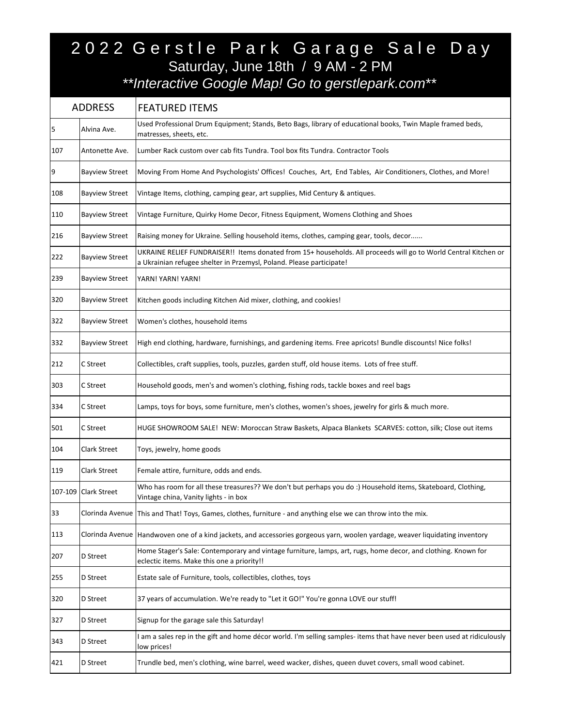## 2022 Gerstle Park Garage Sale Day Saturday, June 18th / 9 AM - 2 PM *\*\*Interactive Google Map! Go to gerstlepark.com\*\**

| <b>ADDRESS</b> |                       | <b>FEATURED ITEMS</b>                                                                                                                                                                   |
|----------------|-----------------------|-----------------------------------------------------------------------------------------------------------------------------------------------------------------------------------------|
| 5              | Alvina Ave.           | Used Professional Drum Equipment; Stands, Beto Bags, library of educational books, Twin Maple framed beds,<br>matresses, sheets, etc.                                                   |
| 107            | Antonette Ave.        | Lumber Rack custom over cab fits Tundra. Tool box fits Tundra. Contractor Tools                                                                                                         |
| 9              | <b>Bayview Street</b> | Moving From Home And Psychologists' Offices! Couches, Art, End Tables, Air Conditioners, Clothes, and More!                                                                             |
| 108            | <b>Bayview Street</b> | Vintage Items, clothing, camping gear, art supplies, Mid Century & antiques.                                                                                                            |
| 110            | <b>Bayview Street</b> | Vintage Furniture, Quirky Home Decor, Fitness Equipment, Womens Clothing and Shoes                                                                                                      |
| 216            | <b>Bayview Street</b> | Raising money for Ukraine. Selling household items, clothes, camping gear, tools, decor                                                                                                 |
| 222            | <b>Bayview Street</b> | UKRAINE RELIEF FUNDRAISER!! Items donated from 15+ households. All proceeds will go to World Central Kitchen or<br>a Ukrainian refugee shelter in Przemysl, Poland. Please participate! |
| 239            | <b>Bayview Street</b> | YARN! YARN! YARN!                                                                                                                                                                       |
| 320            | <b>Bayview Street</b> | Kitchen goods including Kitchen Aid mixer, clothing, and cookies!                                                                                                                       |
| 322            | <b>Bayview Street</b> | Women's clothes, household items                                                                                                                                                        |
| 332            | <b>Bayview Street</b> | High end clothing, hardware, furnishings, and gardening items. Free apricots! Bundle discounts! Nice folks!                                                                             |
| 212            | C Street              | Collectibles, craft supplies, tools, puzzles, garden stuff, old house items. Lots of free stuff.                                                                                        |
| 303            | C Street              | Household goods, men's and women's clothing, fishing rods, tackle boxes and reel bags                                                                                                   |
| 334            | C Street              | Lamps, toys for boys, some furniture, men's clothes, women's shoes, jewelry for girls & much more.                                                                                      |
| 501            | C Street              | HUGE SHOWROOM SALE! NEW: Moroccan Straw Baskets, Alpaca Blankets SCARVES: cotton, silk; Close out items                                                                                 |
| 104            | Clark Street          | Toys, jewelry, home goods                                                                                                                                                               |
| 119            | Clark Street          | Female attire, furniture, odds and ends.                                                                                                                                                |
| 107-109        | <b>Clark Street</b>   | Who has room for all these treasures?? We don't but perhaps you do :) Household items, Skateboard, Clothing,<br>Vintage china, Vanity lights - in box                                   |
| 33             |                       | Clorinda Avenue This and That! Toys, Games, clothes, furniture - and anything else we can throw into the mix.                                                                           |
| 113            |                       | Clorinda Avenue Handwoven one of a kind jackets, and accessories gorgeous yarn, woolen yardage, weaver liquidating inventory                                                            |
| 207            | D Street              | Home Stager's Sale: Contemporary and vintage furniture, lamps, art, rugs, home decor, and clothing. Known for<br>eclectic items. Make this one a priority!!                             |
| 255            | D Street              | Estate sale of Furniture, tools, collectibles, clothes, toys                                                                                                                            |
| 320            | D Street              | 37 years of accumulation. We're ready to "Let it GO!" You're gonna LOVE our stuff!                                                                                                      |
| 327            | D Street              | Signup for the garage sale this Saturday!                                                                                                                                               |
| 343            | D Street              | I am a sales rep in the gift and home décor world. I'm selling samples- items that have never been used at ridiculously<br>low prices!                                                  |
| 421            | D Street              | Trundle bed, men's clothing, wine barrel, weed wacker, dishes, queen duvet covers, small wood cabinet.                                                                                  |